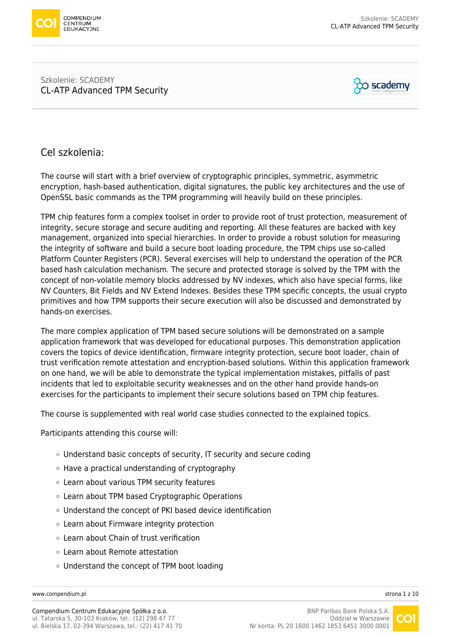

#### Szkolenie: SCADEMY [CL-ATP Advanced TPM Security](https://www.compendium.pl/szkolenie/3946/szkolenie-autoryzowane-scademy-clatp-advanced-tpm-security)



# Cel szkolenia:

The course will start with a brief overview of cryptographic principles, symmetric, asymmetric encryption, hash-based authentication, digital signatures, the public key architectures and the use of OpenSSL basic commands as the TPM programming will heavily build on these principles.

TPM chip features form a complex toolset in order to provide root of trust protection, measurement of integrity, secure storage and secure auditing and reporting. All these features are backed with key management, organized into special hierarchies. In order to provide a robust solution for measuring the integrity of software and build a secure boot loading procedure, the TPM chips use so-called Platform Counter Registers (PCR). Several exercises will help to understand the operation of the PCR based hash calculation mechanism. The secure and protected storage is solved by the TPM with the concept of non-volatile memory blocks addressed by NV indexes, which also have special forms, like NV Counters, Bit Fields and NV Extend Indexes. Besides these TPM specific concepts, the usual crypto primitives and how TPM supports their secure execution will also be discussed and demonstrated by hands-on exercises.

The more complex application of TPM based secure solutions will be demonstrated on a sample application framework that was developed for educational purposes. This demonstration application covers the topics of device identification, firmware integrity protection, secure boot loader, chain of trust verification remote attestation and encryption-based solutions. Within this application framework on one hand, we will be able to demonstrate the typical implementation mistakes, pitfalls of past incidents that led to exploitable security weaknesses and on the other hand provide hands-on exercises for the participants to implement their secure solutions based on TPM chip features.

The course is supplemented with real world case studies connected to the explained topics.

Participants attending this course will:

- Understand basic concepts of security, IT security and secure coding
- $\circ$  Have a practical understanding of cryptography
- Learn about various TPM security features
- Learn about TPM based Cryptographic Operations
- Understand the concept of PKI based device identification
- Learn about Firmware integrity protection
- Learn about Chain of trust verification
- Learn about Remote attestation
- Understand the concept of TPM boot loading

[www.compendium.pl](https://www.compendium.pl/) strona 1 z 10

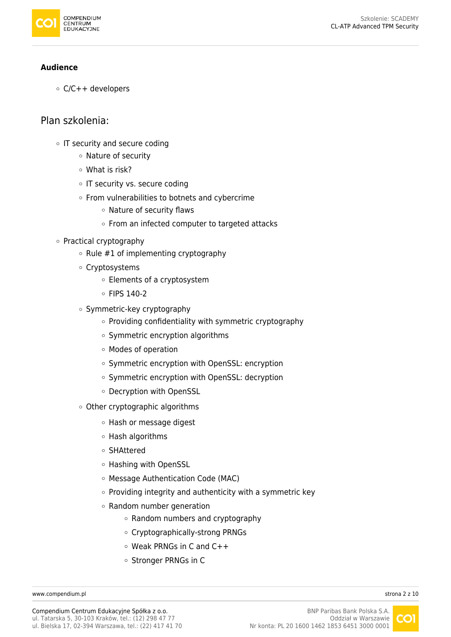

#### **Audience**

 $\circ$  C/C++ developers

### Plan szkolenia:

- o IT security and secure coding
	- o Nature of security
	- What is risk?
	- o IT security vs. secure coding
	- $\circ$  From vulnerabilities to botnets and cybercrime
		- Nature of security flaws
		- o From an infected computer to targeted attacks
- Practical cryptography
	- $\circ$  Rule #1 of implementing cryptography
	- Cryptosystems
		- Elements of a cryptosystem
		- FIPS 140-2
	- $\circ$  Symmetric-key cryptography
		- o Providing confidentiality with symmetric cryptography
		- Symmetric encryption algorithms
		- Modes of operation
		- o Symmetric encryption with OpenSSL: encryption
		- Symmetric encryption with OpenSSL: decryption
		- o Decryption with OpenSSL
	- Other cryptographic algorithms
		- Hash or message digest
		- Hash algorithms
		- SHAttered
		- Hashing with OpenSSL
		- Message Authentication Code (MAC)
		- $\circ$  Providing integrity and authenticity with a symmetric key
		- Random number generation
			- Random numbers and cryptography
			- Cryptographically-strong PRNGs
			- Weak PRNGs in C and C++
			- o Stronger PRNGs in C

[www.compendium.pl](https://www.compendium.pl/) strona 2 z 10

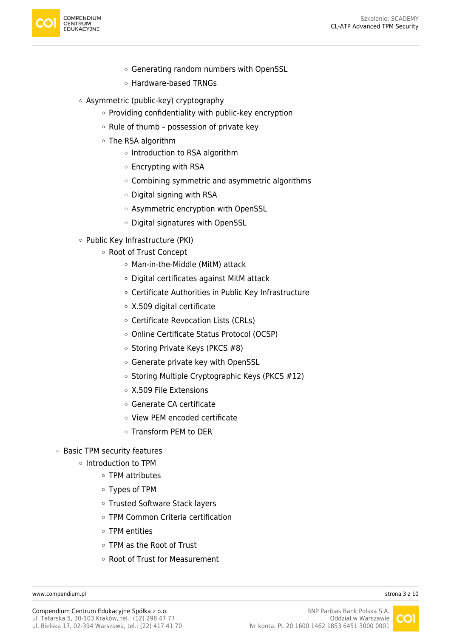

- Generating random numbers with OpenSSL
- Hardware-based TRNGs
- Asymmetric (public-key) cryptography
	- o Providing confidentiality with public-key encryption
	- $\circ$  Rule of thumb possession of private key
	- The RSA algorithm
		- o Introduction to RSA algorithm
		- $\circ$  Encrypting with RSA
		- Combining symmetric and asymmetric algorithms
		- Digital signing with RSA
		- Asymmetric encryption with OpenSSL
		- Digital signatures with OpenSSL
- Public Key Infrastructure (PKI)
	- Root of Trust Concept
		- Man-in-the-Middle (MitM) attack
		- Digital certificates against MitM attack
		- Certificate Authorities in Public Key Infrastructure
		- X.509 digital certificate
		- Certificate Revocation Lists (CRLs)
		- Online Certificate Status Protocol (OCSP)
		- $\circ$  Storing Private Keys (PKCS #8)
		- Generate private key with OpenSSL
		- o Storing Multiple Cryptographic Keys (PKCS #12)
		- X.509 File Extensions
		- Generate CA certificate
		- View PEM encoded certificate
		- Transform PEM to DER
- Basic TPM security features
	- $\circ$  Introduction to TPM
		- TPM attributes
		- Types of TPM
		- Trusted Software Stack layers
		- TPM Common Criteria certification
		- TPM entities
		- TPM as the Root of Trust
		- Root of Trust for Measurement

[www.compendium.pl](https://www.compendium.pl/) strona 3 z 10

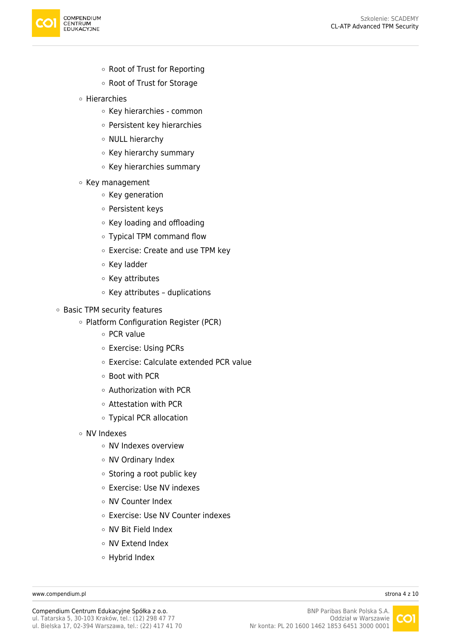

- Root of Trust for Reporting
- Root of Trust for Storage
- Hierarchies
	- Key hierarchies common
	- Persistent key hierarchies
	- o NULL hierarchy
	- Key hierarchy summary
	- $\circ$  Key hierarchies summary
- $\circ$  Key management
	- Key generation
	- Persistent keys
	- Key loading and offloading
	- Typical TPM command flow
	- Exercise: Create and use TPM key
	- Key ladder
	- Key attributes
	- $\circ$  Key attributes duplications
- Basic TPM security features
	- Platform Configuration Register (PCR)
		- o PCR value
		- Exercise: Using PCRs
		- Exercise: Calculate extended PCR value
		- Boot with PCR
		- Authorization with PCR
		- Attestation with PCR
		- Typical PCR allocation
	- NV Indexes
		- NV Indexes overview
		- NV Ordinary Index
		- Storing a root public key
		- Exercise: Use NV indexes
		- NV Counter Index
		- Exercise: Use NV Counter indexes
		- NV Bit Field Index
		- NV Extend Index
		- Hybrid Index

[www.compendium.pl](https://www.compendium.pl/) strona 4 z 10

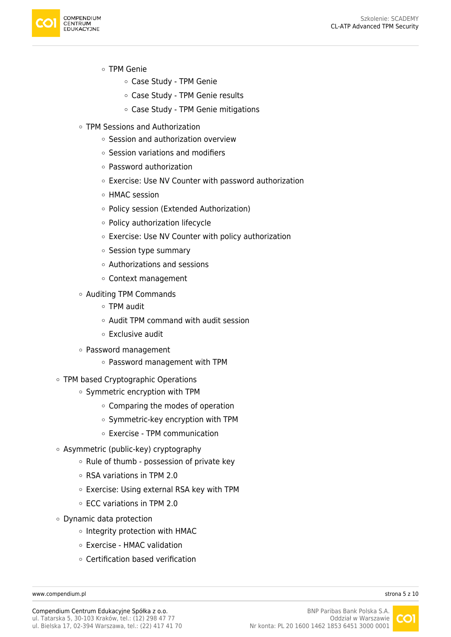

- TPM Genie
	- Case Study TPM Genie
	- Case Study TPM Genie results
	- Case Study TPM Genie mitigations
- TPM Sessions and Authorization
	- Session and authorization overview
	- $\circ$  Session variations and modifiers
	- Password authorization
	- Exercise: Use NV Counter with password authorization
	- HMAC session
	- Policy session (Extended Authorization)
	- $\circ$  Policy authorization lifecycle
	- Exercise: Use NV Counter with policy authorization
	- Session type summary
	- Authorizations and sessions
	- Context management
- Auditing TPM Commands
	- TPM audit
	- Audit TPM command with audit session
	- $\circ$  Exclusive audit
- Password management
	- Password management with TPM
- TPM based Cryptographic Operations
	- $\circ$  Symmetric encryption with TPM
		- Comparing the modes of operation
		- Symmetric-key encryption with TPM
		- Exercise TPM communication
- Asymmetric (public-key) cryptography
	- $\circ$  Rule of thumb possession of private key
	- RSA variations in TPM 2.0
	- Exercise: Using external RSA key with TPM
	- ECC variations in TPM 2.0
- Dynamic data protection
	- $\circ$  Integrity protection with HMAC
	- Exercise HMAC validation
	- Certification based verification

[www.compendium.pl](https://www.compendium.pl/) strona 5 z 10

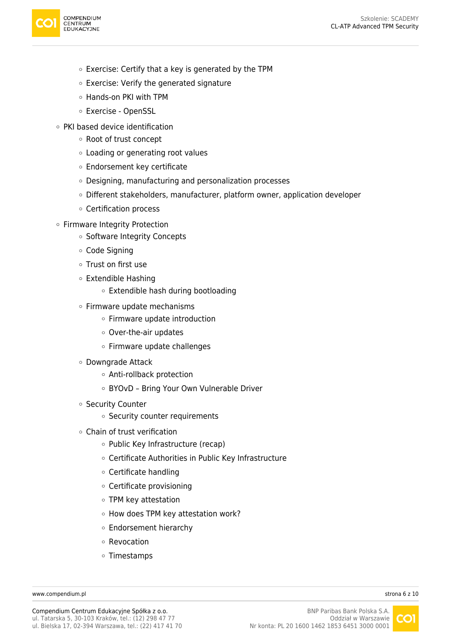

- $\circ$  Exercise: Certify that a key is generated by the TPM
- Exercise: Verify the generated signature
- Hands-on PKI with TPM
- Exercise OpenSSL
- PKI based device identification
	- Root of trust concept
	- Loading or generating root values
	- Endorsement key certificate
	- Designing, manufacturing and personalization processes
	- Different stakeholders, manufacturer, platform owner, application developer
	- Certification process
- Firmware Integrity Protection
	- o Software Integrity Concepts
	- Code Signing
	- Trust on first use
	- Extendible Hashing
		- Extendible hash during bootloading
	- Firmware update mechanisms
		- Firmware update introduction
		- Over-the-air updates
		- Firmware update challenges
	- Downgrade Attack
		- Anti-rollback protection
		- BYOvD Bring Your Own Vulnerable Driver
	- Security Counter
		- o Security counter requirements
	- Chain of trust verification
		- o Public Key Infrastructure (recap)
		- Certificate Authorities in Public Key Infrastructure
		- Certificate handling
		- Certificate provisioning
		- TPM key attestation
		- How does TPM key attestation work?
		- Endorsement hierarchy
		- Revocation
		- Timestamps

[www.compendium.pl](https://www.compendium.pl/) strona 6 z 10

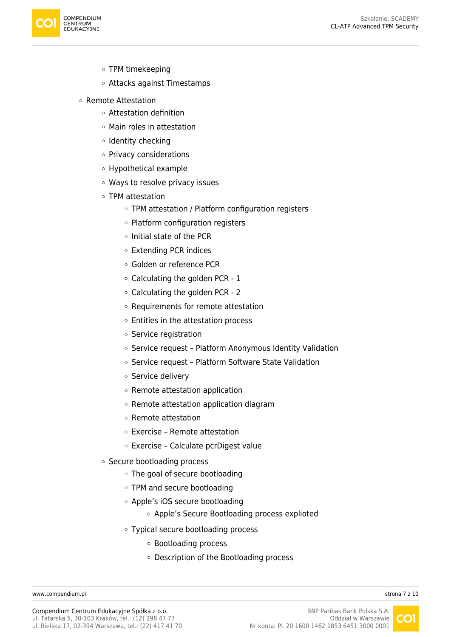

- TPM timekeeping
- Attacks against Timestamps
- Remote Attestation
	- Attestation definition
	- Main roles in attestation
	- $\circ$  Identity checking
	- Privacy considerations
	- Hypothetical example
	- Ways to resolve privacy issues
	- TPM attestation
		- o TPM attestation / Platform configuration registers
		- $\circ$  Platform configuration registers
		- $\circ$  Initial state of the PCR
		- Extending PCR indices
		- Golden or reference PCR
		- $\circ$  Calculating the golden PCR 1
		- $\circ$  Calculating the golden PCR 2
		- Requirements for remote attestation
		- Entities in the attestation process
		- o Service registration
		- $\circ$  Service request Platform Anonymous Identity Validation
		- o Service request Platform Software State Validation
		- o Service delivery
		- $\circ$  Remote attestation application
		- Remote attestation application diagram
		- Remote attestation
		- Exercise Remote attestation
		- $\circ$  Exercise Calculate pcrDigest value
	- o Secure bootloading process
		- The goal of secure bootloading
		- TPM and secure bootloading
		- Apple's iOS secure bootloading
			- Apple's Secure Bootloading process explioted
		- Typical secure bootloading process
			- Bootloading process
			- Description of the Bootloading process

[www.compendium.pl](https://www.compendium.pl/) strona 7 z 10

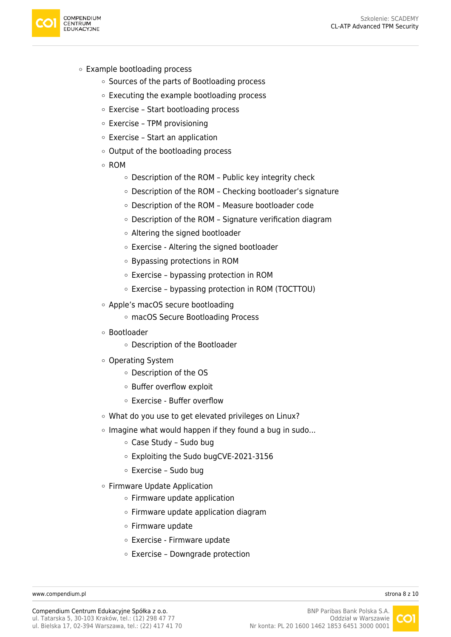

- Example bootloading process
	- o Sources of the parts of Bootloading process
	- Executing the example bootloading process
	- Exercise Start bootloading process
	- $\circ$  Exercise TPM provisioning
	- Exercise Start an application
	- $\circ$  Output of the bootloading process
	- ROM
		- Description of the ROM Public key integrity check
		- Description of the ROM Checking bootloader's signature
		- Description of the ROM Measure bootloader code
		- Description of the ROM Signature verification diagram
		- Altering the signed bootloader
		- Exercise Altering the signed bootloader
		- Bypassing protections in ROM
		- Exercise bypassing protection in ROM
		- Exercise bypassing protection in ROM (TOCTTOU)
	- Apple's macOS secure bootloading
		- macOS Secure Bootloading Process
	- Bootloader
		- Description of the Bootloader
	- Operating System
		- Description of the OS
		- Buffer overflow exploit
		- Exercise Buffer overflow
	- What do you use to get elevated privileges on Linux?
	- $\circ$  Imagine what would happen if they found a bug in sudo...
		- Case Study Sudo bug
		- Exploiting the Sudo bugCVE-2021-3156
		- Exercise Sudo bug
	- Firmware Update Application
		- $\circ$  Firmware update application
		- $\circ$  Firmware update application diagram
		- Firmware update
		- Exercise Firmware update
		- $\circ$  Exercise Downgrade protection

[www.compendium.pl](https://www.compendium.pl/) strona 8 z 10

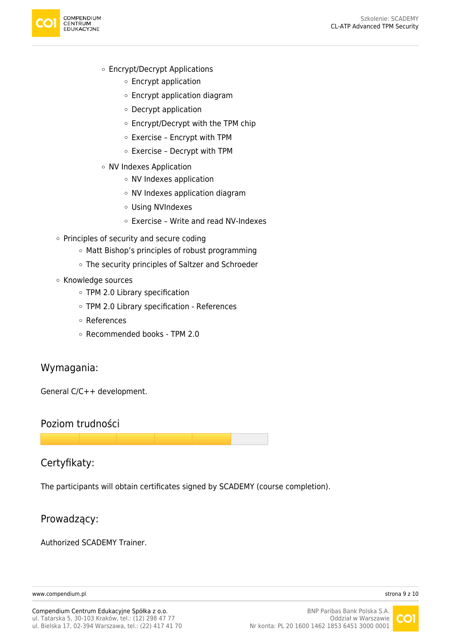

- Encrypt/Decrypt Applications
	- Encrypt application
	- Encrypt application diagram
	- Decrypt application
	- Encrypt/Decrypt with the TPM chip
	- $\circ$  Exercise Encrypt with TPM
	- $\circ$  Exercise Decrypt with TPM
- NV Indexes Application
	- NV Indexes application
	- NV Indexes application diagram
	- Using NVIndexes
	- Exercise Write and read NV-Indexes
- $\circ$  Principles of security and secure coding
	- Matt Bishop's principles of robust programming
	- The security principles of Saltzer and Schroeder
- Knowledge sources
	- TPM 2.0 Library specification
	- TPM 2.0 Library specification References
	- References
	- Recommended books TPM 2.0

## Wymagania:

General C/C++ development.

#### Poziom trudności

## Certyfikaty:

The participants will obtain certificates signed by SCADEMY (course completion).

#### Prowadzący:

Authorized SCADEMY Trainer.

[www.compendium.pl](https://www.compendium.pl/) strona 9 z 10